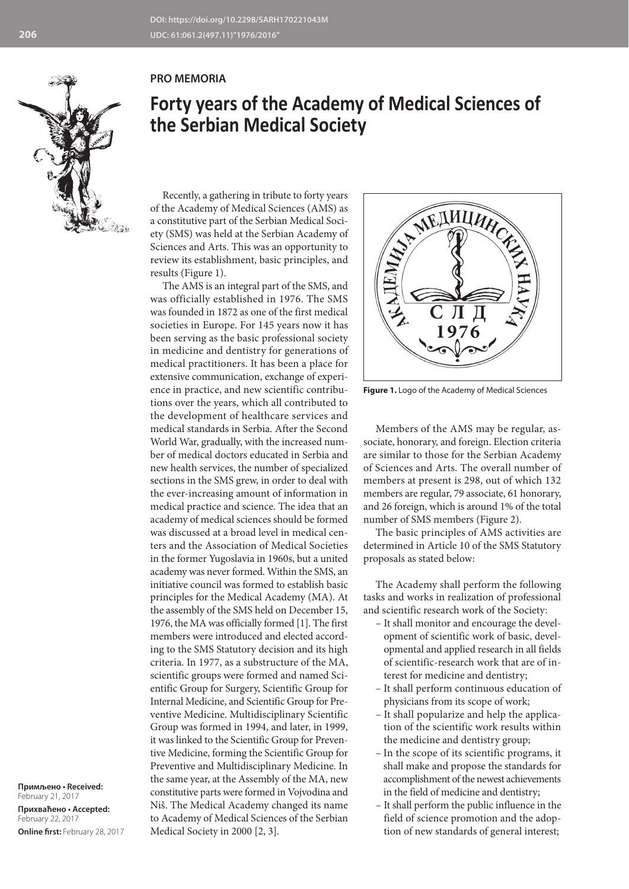## **PRO MEMORIA**



Recently, a gathering in tribute to forty years of the Academy of Medical Sciences (AMS) as a constitutive part of the Serbian Medical Society (SMS) was held at the Serbian Academy of Sciences and Arts. This was an opportunity to review its establishment, basic principles, and results (Figure 1).

The AMS is an integral part of the SMS, and was officially established in 1976. The SMS was founded in 1872 as one of the first medical societies in Europe. For 145 years now it has been serving as the basic professional society in medicine and dentistry for generations of medical practitioners. It has been a place for extensive communication, exchange of experience in practice, and new scientific contributions over the years, which all contributed to the development of healthcare services and medical standards in Serbia. After the Second World War, gradually, with the increased number of medical doctors educated in Serbia and new health services, the number of specialized sections in the SMS grew, in order to deal with the ever-increasing amount of information in medical practice and science. The idea that an academy of medical sciences should be formed was discussed at a broad level in medical centers and the Association of Medical Societies in the former Yugoslavia in 1960s, but a united academy was never formed. Within the SMS, an initiative council was formed to establish basic principles for the Medical Academy (MA). At the assembly of the SMS held on December 15, 1976, the MA was officially formed [1]. The first members were introduced and elected according to the SMS Statutory decision and its high criteria. In 1977, as a substructure of the MA, scientific groups were formed and named Scientific Group for Surgery, Scientific Group for Internal Medicine, and Scientific Group for Preventive Medicine. Multidisciplinary Scientific Group was formed in 1994, and later, in 1999, it was linked to the Scientific Group for Preventive Medicine, forming the Scientific Group for Preventive and Multidisciplinary Medicine. In the same year, at the Assembly of the MA, new constitutive parts were formed in Vojvodina and Niš. The Medical Academy changed its name to Academy of Medical Sciences of the Serbian Medical Society in 2000 [2, 3].

**Примљено • Received:**  February 21, 2017 **Прихваћено • Accepted:** February 22, 2017 **Online first:** February 28, 2017 MEANHIANCE

**Figure 1.** Logo of the Academy of Medical Sciences

Members of the AMS may be regular, associate, honorary, and foreign. Election criteria are similar to those for the Serbian Academy of Sciences and Arts. The overall number of members at present is 298, out of which 132 members are regular, 79 associate, 61 honorary, and 26 foreign, which is around 1% of the total number of SMS members (Figure 2).

The basic principles of AMS activities are determined in Article 10 of the SMS Statutory proposals as stated below:

The Academy shall perform the following tasks and works in realization of professional and scientific research work of the Society:

- It shall monitor and encourage the development of scientific work of basic, developmental and applied research in all fields of scientific-research work that are of interest for medicine and dentistry;
- It shall perform continuous education of physicians from its scope of work;
- It shall popularize and help the application of the scientific work results within the medicine and dentistry group;
- In the scope of its scientific programs, it shall make and propose the standards for accomplishment of the newest achievements in the field of medicine and dentistry;
- It shall perform the public influence in the field of science promotion and the adoption of new standards of general interest;